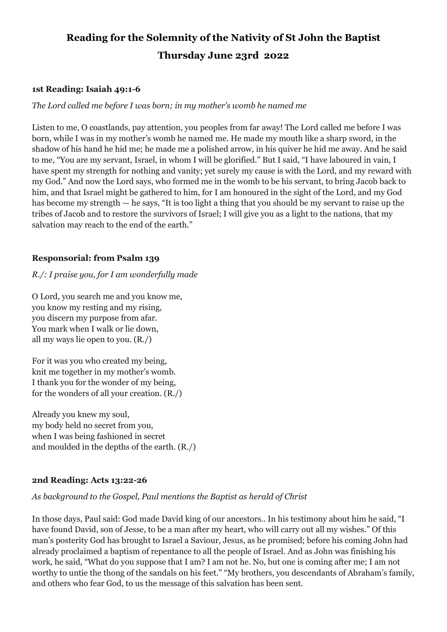# **Reading for the Solemnity of the Nativity of St John the Baptist Thursday June 23rd 2022**

### **1st Reading: Isaiah 49:1-6**

# *The Lord called me before I was born; in my mother's womb he named me*

Listen to me, O coastlands, pay attention, you peoples from far away! The Lord called me before I was born, while I was in my mother's womb he named me. He made my mouth like a sharp sword, in the shadow of his hand he hid me; he made me a polished arrow, in his quiver he hid me away. And he said to me, "You are my servant, Israel, in whom I will be glorified." But I said, "I have laboured in vain, I have spent my strength for nothing and vanity; yet surely my cause is with the Lord, and my reward with my God." And now the Lord says, who formed me in the womb to be his servant, to bring Jacob back to him, and that Israel might be gathered to him, for I am honoured in the sight of the Lord, and my God has become my strength — he says, "It is too light a thing that you should be my servant to raise up the tribes of Jacob and to restore the survivors of Israel; I will give you as a light to the nations, that my salvation may reach to the end of the earth."

# **Responsorial: from Psalm 139**

# *R./: I praise you, for I am wonderfully made*

O Lord, you search me and you know me, you know my resting and my rising, you discern my purpose from afar. You mark when I walk or lie down, all my ways lie open to you. (R./)

For it was you who created my being, knit me together in my mother's womb. I thank you for the wonder of my being, for the wonders of all your creation. (R./)

Already you knew my soul, my body held no secret from you, when I was being fashioned in secret and moulded in the depths of the earth. (R./)

#### **2nd Reading: Acts 13:22-26**

# *As background to the Gospel, Paul mentions the Baptist as herald of Christ*

In those days, Paul said: God made David king of our ancestors.. In his testimony about him he said, "I have found David, son of Jesse, to be a man after my heart, who will carry out all my wishes." Of this man's posterity God has brought to Israel a Saviour, Jesus, as he promised; before his coming John had already proclaimed a baptism of repentance to all the people of Israel. And as John was finishing his work, he said, "What do you suppose that I am? I am not he. No, but one is coming after me; I am not worthy to untie the thong of the sandals on his feet." "My brothers, you descendants of Abraham's family, and others who fear God, to us the message of this salvation has been sent.